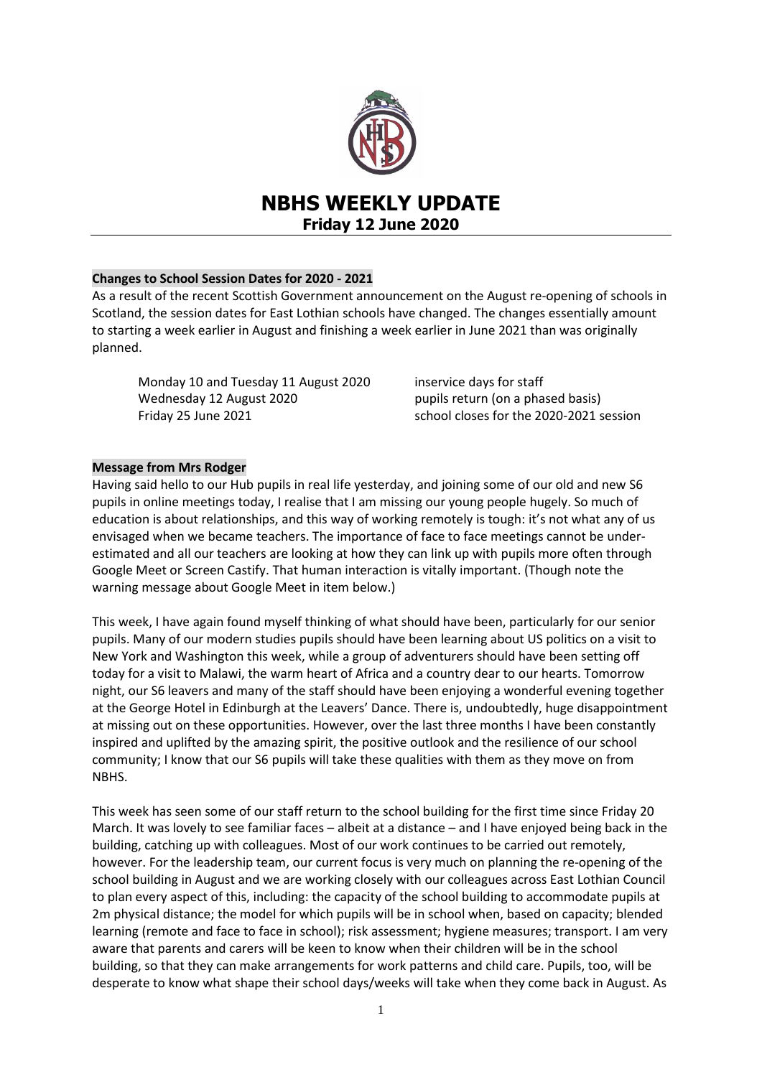

# **Changes to School Session Dates for 2020 - 2021**

As a result of the recent Scottish Government announcement on the August re-opening of schools in Scotland, the session dates for East Lothian schools have changed. The changes essentially amount to starting a week earlier in August and finishing a week earlier in June 2021 than was originally planned.

Monday 10 and Tuesday 11 August 2020 inservice days for staff Wednesday 12 August 2020 pupils return (on a phased basis) Friday 25 June 2021 school closes for the 2020-2021 session

# **Message from Mrs Rodger**

Having said hello to our Hub pupils in real life yesterday, and joining some of our old and new S6 pupils in online meetings today, I realise that I am missing our young people hugely. So much of education is about relationships, and this way of working remotely is tough: it's not what any of us envisaged when we became teachers. The importance of face to face meetings cannot be underestimated and all our teachers are looking at how they can link up with pupils more often through Google Meet or Screen Castify. That human interaction is vitally important. (Though note the warning message about Google Meet in item below.)

This week, I have again found myself thinking of what should have been, particularly for our senior pupils. Many of our modern studies pupils should have been learning about US politics on a visit to New York and Washington this week, while a group of adventurers should have been setting off today for a visit to Malawi, the warm heart of Africa and a country dear to our hearts. Tomorrow night, our S6 leavers and many of the staff should have been enjoying a wonderful evening together at the George Hotel in Edinburgh at the Leavers' Dance. There is, undoubtedly, huge disappointment at missing out on these opportunities. However, over the last three months I have been constantly inspired and uplifted by the amazing spirit, the positive outlook and the resilience of our school community; I know that our S6 pupils will take these qualities with them as they move on from NBHS.

This week has seen some of our staff return to the school building for the first time since Friday 20 March. It was lovely to see familiar faces – albeit at a distance – and I have enjoyed being back in the building, catching up with colleagues. Most of our work continues to be carried out remotely, however. For the leadership team, our current focus is very much on planning the re-opening of the school building in August and we are working closely with our colleagues across East Lothian Council to plan every aspect of this, including: the capacity of the school building to accommodate pupils at 2m physical distance; the model for which pupils will be in school when, based on capacity; blended learning (remote and face to face in school); risk assessment; hygiene measures; transport. I am very aware that parents and carers will be keen to know when their children will be in the school building, so that they can make arrangements for work patterns and child care. Pupils, too, will be desperate to know what shape their school days/weeks will take when they come back in August. As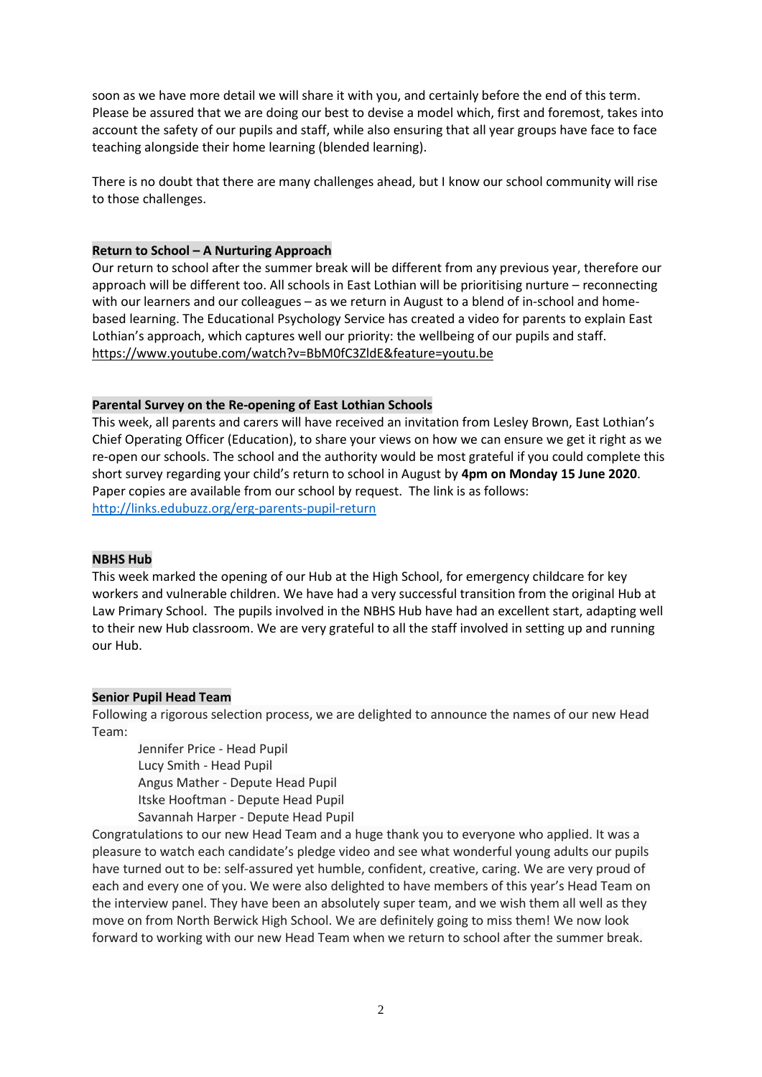soon as we have more detail we will share it with you, and certainly before the end of this term. Please be assured that we are doing our best to devise a model which, first and foremost, takes into account the safety of our pupils and staff, while also ensuring that all year groups have face to face teaching alongside their home learning (blended learning).

There is no doubt that there are many challenges ahead, but I know our school community will rise to those challenges.

## **Return to School – A Nurturing Approach**

Our return to school after the summer break will be different from any previous year, therefore our approach will be different too. All schools in East Lothian will be prioritising nurture – reconnecting with our learners and our colleagues – as we return in August to a blend of in-school and homebased learning. The Educational Psychology Service has created a video for parents to explain East Lothian's approach, which captures well our priority: the wellbeing of our pupils and staff. <https://www.youtube.com/watch?v=BbM0fC3ZldE&feature=youtu.be>

# **Parental Survey on the Re-opening of East Lothian Schools**

This week, all parents and carers will have received an invitation from Lesley Brown, East Lothian's Chief Operating Officer (Education), to share your views on how we can ensure we get it right as we re-open our schools. The school and the authority would be most grateful if you could complete this short survey regarding your child's return to school in August by **4pm on Monday 15 June 2020**. Paper copies are available from our school by request. The link is as follows: <http://links.edubuzz.org/erg-parents-pupil-return>

#### **NBHS Hub**

This week marked the opening of our Hub at the High School, for emergency childcare for key workers and vulnerable children. We have had a very successful transition from the original Hub at Law Primary School. The pupils involved in the NBHS Hub have had an excellent start, adapting well to their new Hub classroom. We are very grateful to all the staff involved in setting up and running our Hub.

#### **Senior Pupil Head Team**

Following a rigorous selection process, we are delighted to announce the names of our new Head Team:

Jennifer Price - Head Pupil Lucy Smith - Head Pupil Angus Mather - Depute Head Pupil Itske Hooftman - Depute Head Pupil Savannah Harper - Depute Head Pupil

Congratulations to our new Head Team and a huge thank you to everyone who applied. It was a pleasure to watch each candidate's pledge video and see what wonderful young adults our pupils have turned out to be: self-assured yet humble, confident, creative, caring. We are very proud of each and every one of you. We were also delighted to have members of this year's Head Team on the interview panel. They have been an absolutely super team, and we wish them all well as they move on from North Berwick High School. We are definitely going to miss them! We now look forward to working with our new Head Team when we return to school after the summer break.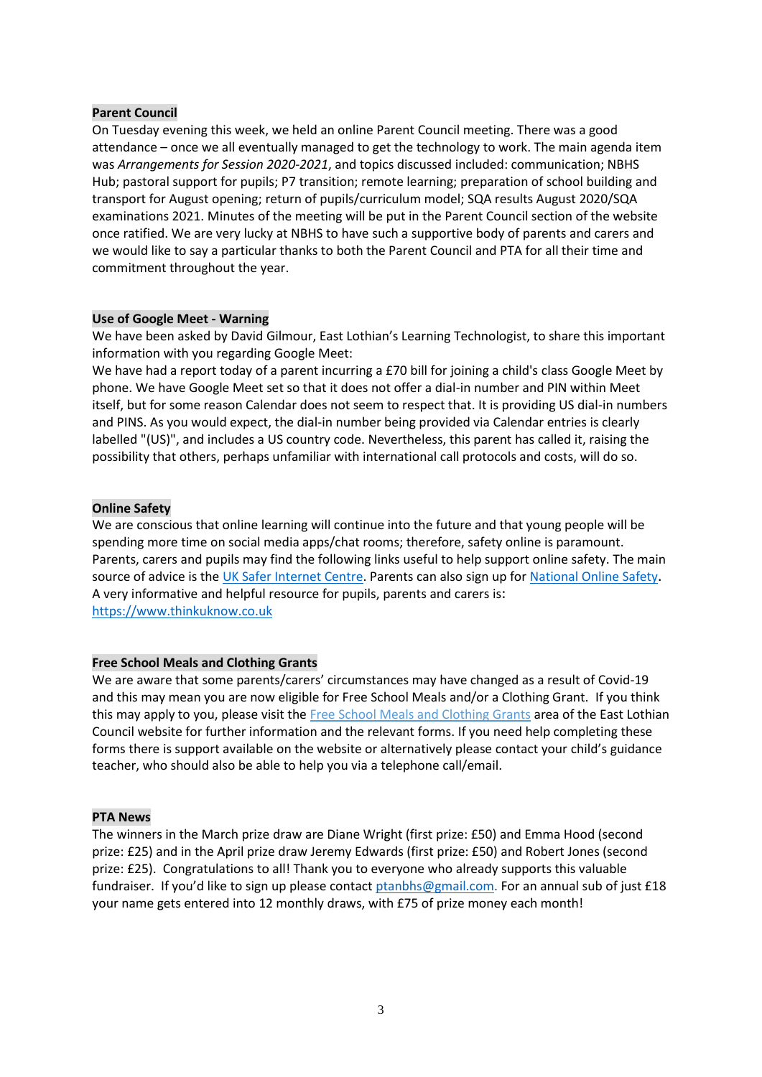#### **Parent Council**

On Tuesday evening this week, we held an online Parent Council meeting. There was a good attendance – once we all eventually managed to get the technology to work. The main agenda item was *Arrangements for Session 2020-2021*, and topics discussed included: communication; NBHS Hub; pastoral support for pupils; P7 transition; remote learning; preparation of school building and transport for August opening; return of pupils/curriculum model; SQA results August 2020/SQA examinations 2021. Minutes of the meeting will be put in the Parent Council section of the website once ratified. We are very lucky at NBHS to have such a supportive body of parents and carers and we would like to say a particular thanks to both the Parent Council and PTA for all their time and commitment throughout the year.

#### **Use of Google Meet - Warning**

We have been asked by David Gilmour, East Lothian's Learning Technologist, to share this important information with you regarding Google Meet:

We have had a report today of a parent incurring a £70 bill for joining a child's class Google Meet by phone. We have Google Meet set so that it does not offer a dial-in number and PIN within Meet itself, but for some reason Calendar does not seem to respect that. It is providing US dial-in numbers and PINS. As you would expect, the dial-in number being provided via Calendar entries is clearly labelled "(US)", and includes a US country code. Nevertheless, this parent has called it, raising the possibility that others, perhaps unfamiliar with international call protocols and costs, will do so.

#### **Online Safety**

We are conscious that online learning will continue into the future and that young people will be spending more time on social media apps/chat rooms; therefore, safety online is paramount. Parents, carers and pupils may find the following links useful to help support online safety. The main source of advice is the [UK Safer Internet Centre.](http://link.gwc.org.uk/ls/click?upn=9aKnBBUZEMcThT1uZYGYO-2FFmb1W0rQjlUVdKcd-2BVITvnaIQF4iYtJigkPwFWJJN52HkEXUmotO6w2uVgyI37zLAF9dS0rShnSLRE-2Bh8x-2BILQZXXoAcqGkjKt7eLIXk1PFFe-2FNAd-2FNXCR3k8gN1mzFtKG6LZC7cgm9Gl8jO7eXWYsL2-2BO-2B-2BgG88m0UY-2FquK9UYH3s_lWsnOCcxyaLqmFaCxcxT30SsqIoVeBU-2B5yJ5oq3L5M2t6rXjCC4-2F7xKeYQeWQRGiDDsyVTmFDhXbWL2WP9H-2FJ2KS9-2B6KNpTp0Sacy-2BmIgeIgYO37fNWpRUkeA49Qi26CDd4FnjOcThwyNIqWYya9OxYLnz-2Fko-2Bqq7qS9ubVWyRXuXVq4mjr1coR-2B0BaaAiA4ZrZ0LAdQjNg1uVlmi7vCj3ZAs5BvcsYYsbMJJVzVp48XX4x5SKNOF9tSBskHWRC3Z5WktMJnySrBTOXfacG-2BWhBlqNdm-2Bo-2FJio-2FGq5SBHDnuFyBVoxSVBtduD5cvrhdh) Parents can also sign up for [National Online Safety](http://link.gwc.org.uk/ls/click?upn=9aKnBBUZEMcThT1uZYGYOzXpPi-2BirmhbMS7IUmshX9Bf2npus98CzezSyEckluWjq-2F8a92cihnm2kVGQXnIkKfzlBXtUjpQ8V3AZcwVxb-2B9H1CK6KWOrpc3ZmS7c1Qm1LsgKkUt4INsvaSEn-2BieU3g-3D-3DDBzj_lWsnOCcxyaLqmFaCxcxT30SsqIoVeBU-2B5yJ5oq3L5M2t6rXjCC4-2F7xKeYQeWQRGiDDsyVTmFDhXbWL2WP9H-2FJ2KS9-2B6KNpTp0Sacy-2BmIgeJMdERlI4N3G0VVmrGb6kLa00wHZnpM3pRKbETBxUwQJnmoYgAkvoSfJUthBYesxhDfBrkrjSZtLn6cK0BQ10N688c7u6QUbL-2BevVmJmz8PQcEbdRcmIn8t2qu6dGZ7umECbPfWsB6otPQ7lXdAJPwR5bYwMF16VxSuD8Wc0gozyBQgP3xtd4bvfYS7W80ete-2FlC1DI0LUFmzB47xxRcnKs). A very informative and helpful resource for pupils, parents and carers is: [https://www.thinkuknow.co.uk](https://www.thinkuknow.co.uk/)

#### **Free School Meals and Clothing Grants**

We are aware that some parents/carers' circumstances may have changed as a result of Covid-19 and this may mean you are now eligible for Free School Meals and/or a Clothing Grant. If you think this may apply to you, please visit the [Free School Meals and Clothing Grants](https://www.eastlothian.gov.uk/info/210557/schools_and_learning/11899/free_school_meals_and_clothing_grants/4) area of the East Lothian Council website for further information and the relevant forms. If you need help completing these forms there is support available on the website or alternatively please contact your child's guidance teacher, who should also be able to help you via a telephone call/email.

#### **PTA News**

The winners in the March prize draw are Diane Wright (first prize: £50) and Emma Hood (second prize: £25) and in the April prize draw Jeremy Edwards (first prize: £50) and Robert Jones (second prize: £25). Congratulations to all! Thank you to everyone who already supports this valuable fundraiser. If you'd like to sign up please contact [ptanbhs@gmail.com.](https://mail.elcschool.org.uk/owa/redir.aspx?C=A2XSjZ1VaNA844_izx_L5M0p0Eh5QNabjdRrVelnfRt7qlnhpA7YCA..&URL=mailto%3aptanbhs%40gmail.com) For an annual sub of just £18 your name gets entered into 12 monthly draws, with £75 of prize money each month!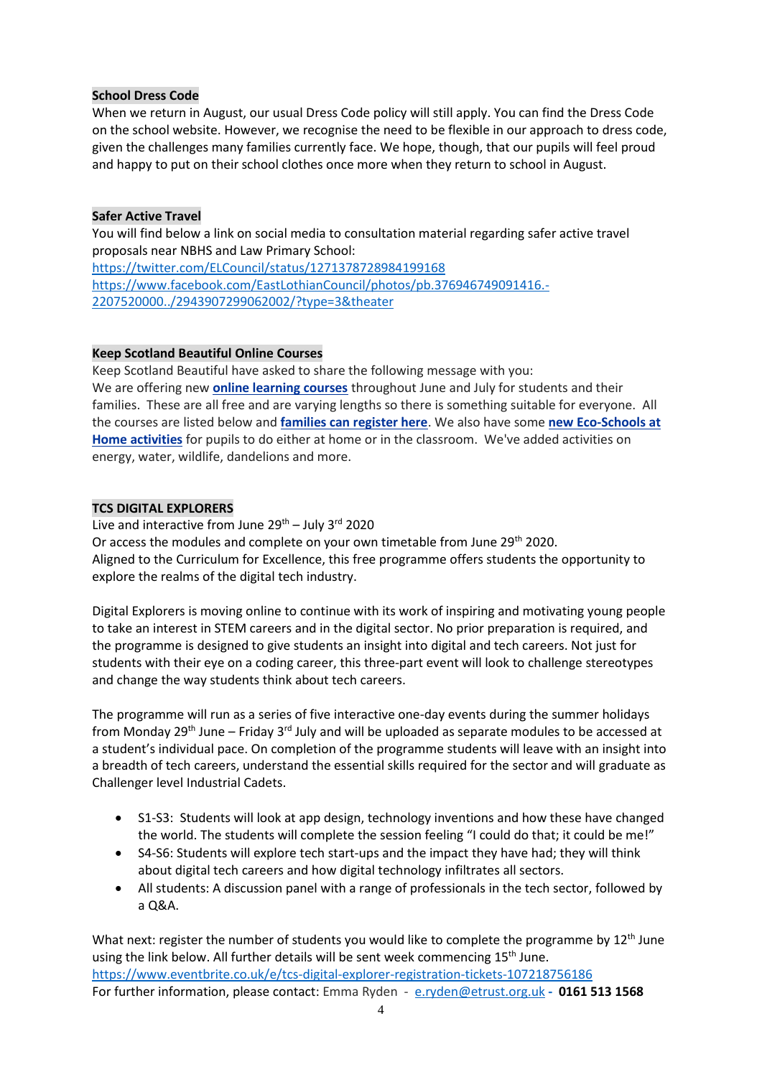## **School Dress Code**

When we return in August, our usual Dress Code policy will still apply. You can find the Dress Code on the school website. However, we recognise the need to be flexible in our approach to dress code, given the challenges many families currently face. We hope, though, that our pupils will feel proud and happy to put on their school clothes once more when they return to school in August.

## **Safer Active Travel**

You will find below a link on social media to consultation material regarding safer active travel proposals near NBHS and Law Primary School:

<https://twitter.com/ELCouncil/status/1271378728984199168> [https://www.facebook.com/EastLothianCouncil/photos/pb.376946749091416.-](https://www.facebook.com/EastLothianCouncil/photos/pb.376946749091416.-2207520000../2943907299062002/?type=3&theater) [2207520000../2943907299062002/?type=3&theater](https://www.facebook.com/EastLothianCouncil/photos/pb.376946749091416.-2207520000../2943907299062002/?type=3&theater)

# **Keep Scotland Beautiful Online Courses**

Keep Scotland Beautiful have asked to share the following message with you: We are offering new **[online learning courses](https://keepscotlandbeautiful.us3.list-manage.com/track/click?u=739719ef9d868d8107b26616c&id=33f4edaebd&e=edb6752aa1)** throughout June and July for students and their families. These are all free and are varying lengths so there is something suitable for everyone. All the courses are listed below and **[families can register here](https://keepscotlandbeautiful.us3.list-manage.com/track/click?u=739719ef9d868d8107b26616c&id=62eddb55c3&e=edb6752aa1)**. We also have some **[new Eco-Schools at](https://keepscotlandbeautiful.us3.list-manage.com/track/click?u=739719ef9d868d8107b26616c&id=d6f0545e21&e=edb6752aa1)  [Home activities](https://keepscotlandbeautiful.us3.list-manage.com/track/click?u=739719ef9d868d8107b26616c&id=d6f0545e21&e=edb6752aa1)** for pupils to do either at home or in the classroom. We've added activities on energy, water, wildlife, dandelions and more.

# **TCS DIGITAL EXPLORERS**

Live and interactive from June  $29^{th}$  – July 3<sup>rd</sup> 2020 Or access the modules and complete on your own timetable from June 29th 2020. Aligned to the Curriculum for Excellence, this free programme offers students the opportunity to explore the realms of the digital tech industry.

Digital Explorers is moving online to continue with its work of inspiring and motivating young people to take an interest in STEM careers and in the digital sector. No prior preparation is required, and the programme is designed to give students an insight into digital and tech careers. Not just for students with their eye on a coding career, this three-part event will look to challenge stereotypes and change the way students think about tech careers.

The programme will run as a series of five interactive one-day events during the summer holidays from Monday 29<sup>th</sup> June – Friday 3<sup>rd</sup> July and will be uploaded as separate modules to be accessed at a student's individual pace. On completion of the programme students will leave with an insight into a breadth of tech careers, understand the essential skills required for the sector and will graduate as Challenger level Industrial Cadets.

- S1-S3: Students will look at app design, technology inventions and how these have changed the world. The students will complete the session feeling "I could do that; it could be me!"
- S4-S6: Students will explore tech start-ups and the impact they have had; they will think about digital tech careers and how digital technology infiltrates all sectors.
- All students: A discussion panel with a range of professionals in the tech sector, followed by a Q&A.

What next: register the number of students you would like to complete the programme by 12<sup>th</sup> June using the link below. All further details will be sent week commencing  $15<sup>th</sup>$  June. <https://www.eventbrite.co.uk/e/tcs-digital-explorer-registration-tickets-107218756186> For further information, please contact: Emma Ryden - [e.ryden@etrust.org.uk](mailto:e.ryden@etrust.org.uk) **- 0161 513 1568**